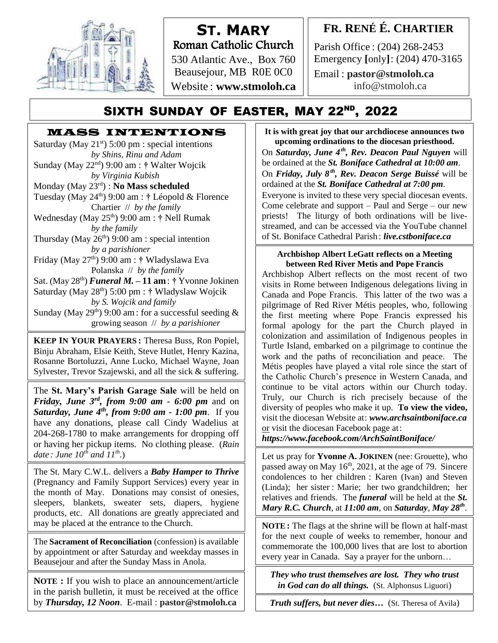

# **ST. MARY** Roman Catholic Church

530 Atlantic Ave., Box 760 Beausejour, MB R0E 0C0 Website : **www.stmoloh.ca**

## **FR. RENÉ É. CHARTIER**

Parish Office : (204) 268-2453 Emergency **[**only**]**: (204) 470-3165

Email : **pastor@stmoloh.ca** info@stmoloh.ca

## SIXTH SUNDAY OF EASTER, MAY 22<sup>nd</sup>, 2022

# **MASS INTENTIONS**<br>urday (May 21<sup>st</sup>) 5:00 pm : special intentions

Saturday (May  $21^{st}$ ) 5:00 pm : special intentions *by Shins, Rinu and Adam* Sunday (May 22nd) 9:00 am : **†** Walter Wojcik *by Virginia Kubish*

Monday (May 23rd) : **No Mass scheduled**

Tuesday (May 24th) 9:00 am : **†** Léopold & Florence Chartier // *by the family*

Wednesday (May 25th) 9:00 am : **†** Nell Rumak *by the family* 

Thursday (May  $26<sup>th</sup>$ ) 9:00 am : special intention *by a parishioner*

Friday (May 27 th) 9:00 am : **†** Wladyslawa Eva Polanska // *by the family*

Sat. (May  $28<sup>th</sup>$ ) *Funeral M.* **– 11 am**:  $\dagger$  Yvonne Jokinen Saturday (May 28 th) 5:00 pm : **†** Wladyslaw Wojcik

*by S. Wojcik and family* Sunday (May 29<sup>th</sup>) 9:00 am: for a successful seeding  $\&$ 

growing season // *by a parishioner*

**KEEP IN YOUR PRAYERS :** Theresa Buss, Ron Popiel, Binju Abraham, Elsie Keith, Steve Hutlet, Henry Kazina, Rosanne Bortoluzzi, Anne Lucko, Michael Wayne, Joan Sylvester, Trevor Szajewski, and all the sick & suffering.

The **St. Mary's Parish Garage Sale** will be held on *Friday, June 3rd, from 9:00 am - 6:00 pm* and on *Saturday, June 4th, from 9:00 am - 1:00 pm*. If you have any donations, please call Cindy Wadelius at 204-268-1780 to make arrangements for dropping off or having her pickup items. No clothing please. (*Rain date : June 10th and 11th .*)

The St. Mary C.W.L. delivers a *Baby Hamper to Thrive* (Pregnancy and Family Support Services) every year in the month of May. Donations may consist of onesies, sleepers, blankets, sweater sets, diapers, hygiene products, etc. All donations are greatly appreciated and may be placed at the entrance to the Church.

The **Sacrament of Reconciliation** (confession) is available by appointment or after Saturday and weekday masses in Beausejour and after the Sunday Mass in Anola.

**NOTE :** If you wish to place an announcement/article in the parish bulletin, it must be received at the office by *Thursday, 12 Noon*. E-mail : **pastor@stmoloh.ca**

**upcoming ordinations to the diocesan priesthood. It is with great joy that our archdiocese announces two**  On *Saturday, June 4th , Rev. Deacon Paul Nguyen* will be ordained at the *St. Boniface Cathedral at 10:00 am*. On *Friday, July 8th, Rev. Deacon Serge Buissé* will be ordained at the *St. Boniface Cathedral at 7:00 pm*. Everyone is invited to these very special diocesan events. Come celebrate and support – Paul and Serge – our new priests! The liturgy of both ordinations will be livestreamed, and can be accessed via the YouTube channel of St. Boniface Cathedral Parish : *live.cstboniface.ca*

## **Archbishop Albert LeGatt reflects on a Meeting between Red River Metis and Pope Francis**

Archbishop Albert reflects on the most recent of two visits in Rome between Indigenous delegations living in Canada and Pope Francis. This latter of the two was a pilgrimage of Red River Métis peoples, who, following the first meeting where Pope Francis expressed his formal apology for the part the Church played in colonization and assimilation of Indigenous peoples in Turtle Island, embarked on a pilgrimage to continue the work and the paths of reconciliation and peace. The Métis peoples have played a vital role since the start of the Catholic Church's presence in Western Canada, and continue to be vital actors within our Church today. Truly, our Church is rich precisely because of the diversity of peoples who make it up. **To view the video,** visit the diocesan Website at: *[www.archsaintboniface.ca](http://www.archsaintboniface.ca/)* or visit the diocesan Facebook page at:

*<https://www.facebook.com/ArchSaintBoniface/>*

Let us pray for Yvonne **A.** JOKINEN (nee: Grouette), who passed away on May 16<sup>th</sup>, 2021, at the age of 79. Sincere condolences to her children : Karen (Ivan) and Steven (Linda); her sister : Marie; her two grandchildren; her **The view of the view the view the video at 11.00 cm** on Saturday, M *Mary R.C. Church*, at *11:00 am*, on *Saturday*, *May 28<sup>th</sup>*. relatives and friends. The *funeral* will be held at the *St.* 

**NOTE** : The flags at the shrine will be flown at half-mast for the next couple of weeks to remember, honour and commemorate the 100,000 lives that are lost to abortion every year in Canada. Say a prayer for the unborn…

*They who trust themselves are lost. They who trust in God can do all things.* (St. Alphonsus Liguori)

*Truth suffers, but never dies…* (St. Theresa of Avila)